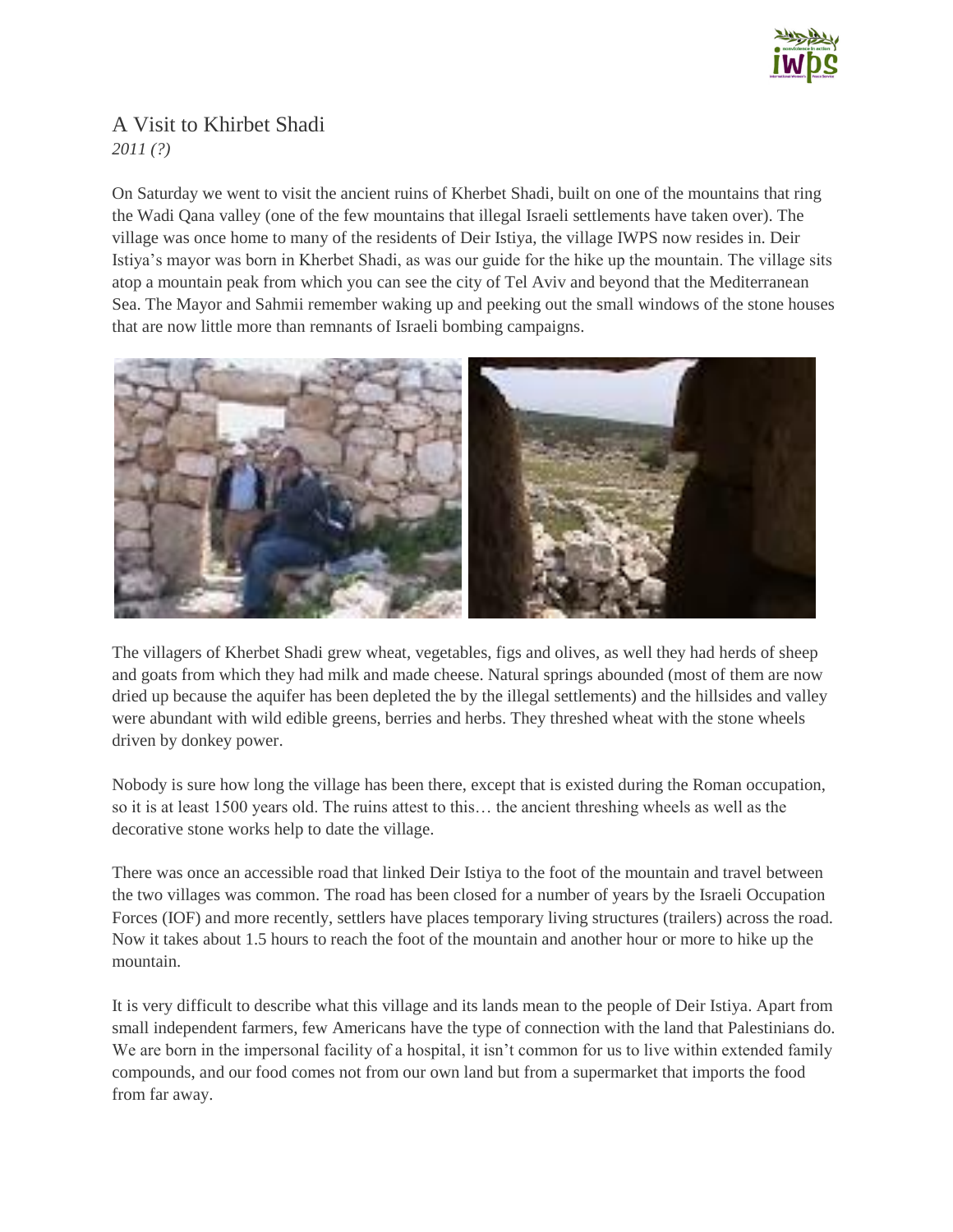

## A Visit to Khirbet Shadi *2011 (?)*

On Saturday we went to visit the ancient ruins of Kherbet Shadi, built on one of the mountains that ring the Wadi Qana valley (one of the few mountains that illegal Israeli settlements have taken over). The village was once home to many of the residents of Deir Istiya, the village IWPS now resides in. Deir Istiya's mayor was born in Kherbet Shadi, as was our guide for the hike up the mountain. The village sits atop a mountain peak from which you can see the city of Tel Aviv and beyond that the Mediterranean Sea. The Mayor and Sahmii remember waking up and peeking out the small windows of the stone houses that are now little more than remnants of Israeli bombing campaigns.



The villagers of Kherbet Shadi grew wheat, vegetables, figs and olives, as well they had herds of sheep and goats from which they had milk and made cheese. Natural springs abounded (most of them are now dried up because the aquifer has been depleted the by the illegal settlements) and the hillsides and valley were abundant with wild edible greens, berries and herbs. They threshed wheat with the stone wheels driven by donkey power.

Nobody is sure how long the village has been there, except that is existed during the Roman occupation, so it is at least 1500 years old. The ruins attest to this… the ancient threshing wheels as well as the decorative stone works help to date the village.

There was once an accessible road that linked Deir Istiya to the foot of the mountain and travel between the two villages was common. The road has been closed for a number of years by the Israeli Occupation Forces (IOF) and more recently, settlers have places temporary living structures (trailers) across the road. Now it takes about 1.5 hours to reach the foot of the mountain and another hour or more to hike up the mountain.

It is very difficult to describe what this village and its lands mean to the people of Deir Istiya. Apart from small independent farmers, few Americans have the type of connection with the land that Palestinians do. We are born in the impersonal facility of a hospital, it isn't common for us to live within extended family compounds, and our food comes not from our own land but from a supermarket that imports the food from far away.